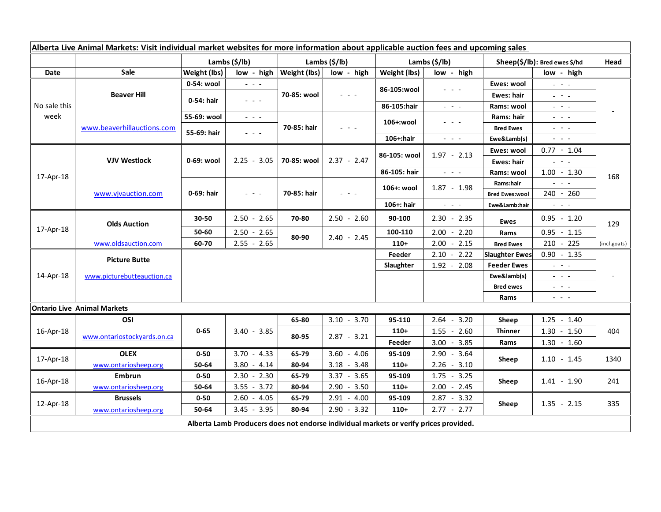| Alberta Live Animal Markets: Visit individual market websites for more information about applicable auction fees and upcoming sales |                                           |                           |                                                                                                                           |                           |               |                           |                                                                                                                                                                                                                                                                                                                                                                                                                                                                 |                                 |                                                                                                                                                                                                                                                                                                                                                                                                                                                |              |
|-------------------------------------------------------------------------------------------------------------------------------------|-------------------------------------------|---------------------------|---------------------------------------------------------------------------------------------------------------------------|---------------------------|---------------|---------------------------|-----------------------------------------------------------------------------------------------------------------------------------------------------------------------------------------------------------------------------------------------------------------------------------------------------------------------------------------------------------------------------------------------------------------------------------------------------------------|---------------------------------|------------------------------------------------------------------------------------------------------------------------------------------------------------------------------------------------------------------------------------------------------------------------------------------------------------------------------------------------------------------------------------------------------------------------------------------------|--------------|
|                                                                                                                                     |                                           | Lambs $(\frac{2}{3})$ lb) |                                                                                                                           | Lambs $(\frac{2}{3})$ lb) |               | Lambs $(\frac{2}{3})$ lb) |                                                                                                                                                                                                                                                                                                                                                                                                                                                                 | $Sheep(S/Ib)$ : Bred ewes \$/hd |                                                                                                                                                                                                                                                                                                                                                                                                                                                | Head         |
| Date                                                                                                                                | <b>Sale</b>                               | Weight (lbs)              | low - high                                                                                                                | Weight (lbs)              | low - high    | Weight (lbs)              | low - high                                                                                                                                                                                                                                                                                                                                                                                                                                                      |                                 | low - high                                                                                                                                                                                                                                                                                                                                                                                                                                     |              |
| No sale this<br>week                                                                                                                | <b>Beaver Hill</b>                        | 0-54: wool                | $  -$                                                                                                                     | 70-85: wool               | $  -$         | 86-105:wool               | - - -                                                                                                                                                                                                                                                                                                                                                                                                                                                           | Ewes: wool                      | $\omega_{\rm c} \sim \omega_{\rm c}$                                                                                                                                                                                                                                                                                                                                                                                                           | 168          |
|                                                                                                                                     |                                           | 0-54: hair                | $  -$                                                                                                                     |                           |               |                           |                                                                                                                                                                                                                                                                                                                                                                                                                                                                 | Ewes: hair                      | $\omega_{\rm{eff}} = \omega_{\rm{eff}} - \omega_{\rm{eff}}$                                                                                                                                                                                                                                                                                                                                                                                    |              |
|                                                                                                                                     |                                           |                           |                                                                                                                           |                           |               | 86-105:hair               | $\omega_{\rm{eff}}$ , $\omega_{\rm{eff}}$ , $\omega_{\rm{eff}}$                                                                                                                                                                                                                                                                                                                                                                                                 | Rams: wool                      | $\frac{1}{2} \left( \frac{1}{2} \right) \frac{1}{2} \left( \frac{1}{2} \right) \frac{1}{2} \left( \frac{1}{2} \right) \frac{1}{2} \left( \frac{1}{2} \right) \frac{1}{2} \left( \frac{1}{2} \right) \frac{1}{2} \left( \frac{1}{2} \right) \frac{1}{2} \left( \frac{1}{2} \right) \frac{1}{2} \left( \frac{1}{2} \right) \frac{1}{2} \left( \frac{1}{2} \right) \frac{1}{2} \left( \frac{1}{2} \right) \frac{1}{2} \left( \frac{1}{2} \right)$ |              |
|                                                                                                                                     | www.beaverhillauctions.com                | 55-69: wool               | $\omega_{\rm c}$ , $\omega_{\rm c}$ , $\omega_{\rm c}$                                                                    | 70-85: hair               | $- - - -$     | 106+:wool                 | $  -$                                                                                                                                                                                                                                                                                                                                                                                                                                                           | Rams: hair                      | $\frac{1}{2} \left( \frac{1}{2} \right) = \frac{1}{2} \left( \frac{1}{2} \right)$                                                                                                                                                                                                                                                                                                                                                              |              |
|                                                                                                                                     |                                           | 55-69: hair               | $\sim$ $\sim$ $\sim$                                                                                                      |                           |               |                           |                                                                                                                                                                                                                                                                                                                                                                                                                                                                 | <b>Bred Ewes</b>                | $\frac{1}{2} \left( \frac{1}{2} \right) \frac{1}{2} \left( \frac{1}{2} \right) \frac{1}{2} \left( \frac{1}{2} \right) \frac{1}{2} \left( \frac{1}{2} \right) \frac{1}{2} \left( \frac{1}{2} \right) \frac{1}{2} \left( \frac{1}{2} \right) \frac{1}{2} \left( \frac{1}{2} \right) \frac{1}{2} \left( \frac{1}{2} \right) \frac{1}{2} \left( \frac{1}{2} \right) \frac{1}{2} \left( \frac{1}{2} \right) \frac{1}{2} \left( \frac{1}{2} \right)$ |              |
|                                                                                                                                     |                                           |                           |                                                                                                                           |                           |               | 106+:hair                 | $\frac{1}{2} \left( \frac{1}{2} \right) \left( \frac{1}{2} \right) \left( \frac{1}{2} \right) \left( \frac{1}{2} \right)$                                                                                                                                                                                                                                                                                                                                       | Ewe&Lamb(s)                     | $\frac{1}{2} \left( \frac{1}{2} \right) \left( \frac{1}{2} \right) \left( \frac{1}{2} \right) \left( \frac{1}{2} \right)$                                                                                                                                                                                                                                                                                                                      |              |
| 17-Apr-18                                                                                                                           | <b>VJV Westlock</b><br>www.vjvauction.com | 0-69: wool                | $2.25 - 3.05$                                                                                                             | 70-85: wool               | $2.37 - 2.47$ | 86-105: wool              | $1.97 - 2.13$                                                                                                                                                                                                                                                                                                                                                                                                                                                   | Ewes: wool                      | $0.77 - 1.04$                                                                                                                                                                                                                                                                                                                                                                                                                                  |              |
|                                                                                                                                     |                                           |                           |                                                                                                                           |                           |               | 86-105: hair              |                                                                                                                                                                                                                                                                                                                                                                                                                                                                 | Ewes: hair                      | $\omega_{\rm{eff}}=0.1$                                                                                                                                                                                                                                                                                                                                                                                                                        |              |
|                                                                                                                                     |                                           | 0-69: hair                | $\frac{1}{2} \left( \frac{1}{2} \right) \left( \frac{1}{2} \right) \left( \frac{1}{2} \right) \left( \frac{1}{2} \right)$ | 70-85: hair               | $  -$         |                           | $\frac{1}{2} \left( \frac{1}{2} \right) \frac{1}{2} \left( \frac{1}{2} \right) \frac{1}{2} \left( \frac{1}{2} \right) \frac{1}{2} \left( \frac{1}{2} \right) \frac{1}{2} \left( \frac{1}{2} \right) \frac{1}{2} \left( \frac{1}{2} \right) \frac{1}{2} \left( \frac{1}{2} \right) \frac{1}{2} \left( \frac{1}{2} \right) \frac{1}{2} \left( \frac{1}{2} \right) \frac{1}{2} \left( \frac{1}{2} \right) \frac{1}{2} \left( \frac{1}{2} \right)$<br>$1.87 - 1.98$ | Rams: wool<br>Rams:hair         | $1.00 - 1.30$<br>$\mathbb{Z}^2$ and $\mathbb{Z}^2$                                                                                                                                                                                                                                                                                                                                                                                             |              |
|                                                                                                                                     |                                           |                           |                                                                                                                           |                           |               | 106+: wool                |                                                                                                                                                                                                                                                                                                                                                                                                                                                                 | <b>Bred Ewes:wool</b>           | 240 - 260                                                                                                                                                                                                                                                                                                                                                                                                                                      |              |
|                                                                                                                                     |                                           |                           |                                                                                                                           |                           |               | 106+: hair                | $\omega_{\rm{eff}}$ and $\omega_{\rm{eff}}$                                                                                                                                                                                                                                                                                                                                                                                                                     | Ewe&Lamb:hair                   | $\mathbb{Z}^2$ and $\mathbb{Z}^2$                                                                                                                                                                                                                                                                                                                                                                                                              |              |
| 17-Apr-18                                                                                                                           | <b>Olds Auction</b>                       | 30-50                     | $2.50 - 2.65$                                                                                                             | 70-80                     | $2.50 - 2.60$ | 90-100                    | $2.30 - 2.35$                                                                                                                                                                                                                                                                                                                                                                                                                                                   | <b>Ewes</b>                     | $0.95 - 1.20$                                                                                                                                                                                                                                                                                                                                                                                                                                  | 129          |
|                                                                                                                                     |                                           | 50-60                     | $2.50 - 2.65$                                                                                                             | 80-90                     | $2.40 - 2.45$ | 100-110                   | $2.00 - 2.20$                                                                                                                                                                                                                                                                                                                                                                                                                                                   | Rams                            | $0.95 - 1.15$                                                                                                                                                                                                                                                                                                                                                                                                                                  |              |
|                                                                                                                                     | www.oldsauction.com                       | 60-70                     | $2.55 - 2.65$                                                                                                             |                           |               | $110+$                    | $2.00 - 2.15$                                                                                                                                                                                                                                                                                                                                                                                                                                                   | <b>Bred Ewes</b>                | 210 - 225                                                                                                                                                                                                                                                                                                                                                                                                                                      | (incl.goats) |
| 14-Apr-18                                                                                                                           | <b>Picture Butte</b>                      |                           |                                                                                                                           |                           |               | Feeder                    | $2.10 - 2.22$                                                                                                                                                                                                                                                                                                                                                                                                                                                   | <b>Slaughter Ewes</b>           | $0.90 - 1.35$                                                                                                                                                                                                                                                                                                                                                                                                                                  |              |
|                                                                                                                                     | www.picturebutteauction.ca                |                           |                                                                                                                           |                           |               | Slaughter                 | $1.92 - 2.08$                                                                                                                                                                                                                                                                                                                                                                                                                                                   | <b>Feeder Ewes</b>              | $\frac{1}{2} \left( \frac{1}{2} \right) \left( \frac{1}{2} \right) \left( \frac{1}{2} \right) \left( \frac{1}{2} \right)$                                                                                                                                                                                                                                                                                                                      |              |
|                                                                                                                                     |                                           |                           |                                                                                                                           |                           |               |                           |                                                                                                                                                                                                                                                                                                                                                                                                                                                                 | Ewe&lamb(s)                     | $\frac{1}{2} \left( \frac{1}{2} \right) = \frac{1}{2} \left( \frac{1}{2} \right)$                                                                                                                                                                                                                                                                                                                                                              |              |
|                                                                                                                                     |                                           |                           |                                                                                                                           |                           |               |                           |                                                                                                                                                                                                                                                                                                                                                                                                                                                                 | <b>Bred ewes</b>                | $\omega_{\rm{eff}}$ , $\omega_{\rm{eff}}$ , $\omega_{\rm{eff}}$                                                                                                                                                                                                                                                                                                                                                                                |              |
|                                                                                                                                     | <b>Ontario Live Animal Markets</b>        |                           |                                                                                                                           |                           |               |                           |                                                                                                                                                                                                                                                                                                                                                                                                                                                                 | Rams                            | $\frac{1}{2} \left( \frac{1}{2} \right) \frac{1}{2} \left( \frac{1}{2} \right) \frac{1}{2} \left( \frac{1}{2} \right)$                                                                                                                                                                                                                                                                                                                         |              |
| 16-Apr-18                                                                                                                           | OSI                                       |                           |                                                                                                                           | 65-80                     | $3.10 - 3.70$ | 95-110                    | $2.64 -$<br>3.20                                                                                                                                                                                                                                                                                                                                                                                                                                                | Sheep                           | 1.25<br>$-1.40$                                                                                                                                                                                                                                                                                                                                                                                                                                |              |
|                                                                                                                                     | www.ontariostockvards.on.ca               | $0 - 65$                  | $3.40 - 3.85$                                                                                                             | 80-95                     | $2.87 - 3.21$ | $110+$                    | $1.55 - 2.60$                                                                                                                                                                                                                                                                                                                                                                                                                                                   | <b>Thinner</b>                  | $1.30 - 1.50$                                                                                                                                                                                                                                                                                                                                                                                                                                  | 404          |
|                                                                                                                                     |                                           |                           |                                                                                                                           |                           |               | Feeder                    | $3.00 - 3.85$                                                                                                                                                                                                                                                                                                                                                                                                                                                   | Rams                            | $1.30 - 1.60$                                                                                                                                                                                                                                                                                                                                                                                                                                  |              |
| 17-Apr-18                                                                                                                           | <b>OLEX</b>                               | $0 - 50$                  | $3.70 - 4.33$                                                                                                             | 65-79                     | $3.60 - 4.06$ | 95-109                    | $2.90 - 3.64$                                                                                                                                                                                                                                                                                                                                                                                                                                                   |                                 |                                                                                                                                                                                                                                                                                                                                                                                                                                                |              |
|                                                                                                                                     | www.ontariosheep.org                      | 50-64                     | $3.80 - 4.14$                                                                                                             | 80-94                     | $3.18 - 3.48$ | $110+$                    | $2.26 - 3.10$                                                                                                                                                                                                                                                                                                                                                                                                                                                   | Sheep                           | $1.10 - 1.45$                                                                                                                                                                                                                                                                                                                                                                                                                                  | 1340         |
| 16-Apr-18                                                                                                                           | Embrun                                    | $0 - 50$                  | $2.30 - 2.30$                                                                                                             | 65-79                     | $3.37 - 3.65$ | 95-109                    | $1.75 - 3.25$                                                                                                                                                                                                                                                                                                                                                                                                                                                   | Sheep                           |                                                                                                                                                                                                                                                                                                                                                                                                                                                |              |
|                                                                                                                                     | www.ontariosheep.org                      | 50-64                     | $3.55 - 3.72$                                                                                                             | 80-94                     | $2.90 - 3.50$ | $110+$                    | 2.00<br>$-2.45$                                                                                                                                                                                                                                                                                                                                                                                                                                                 |                                 | $1.41 - 1.90$                                                                                                                                                                                                                                                                                                                                                                                                                                  | 241          |
| 12-Apr-18                                                                                                                           | <b>Brussels</b>                           | $0 - 50$                  | $2.60 - 4.05$                                                                                                             | 65-79                     | $2.91 - 4.00$ | 95-109                    | $2.87 - 3.32$                                                                                                                                                                                                                                                                                                                                                                                                                                                   | Sheep                           | $1.35 - 2.15$                                                                                                                                                                                                                                                                                                                                                                                                                                  | 335          |
|                                                                                                                                     | www.ontariosheep.org                      | 50-64                     | $3.45 - 3.95$                                                                                                             | 80-94                     | $2.90 - 3.32$ | $110+$                    | $2.77 - 2.77$                                                                                                                                                                                                                                                                                                                                                                                                                                                   |                                 |                                                                                                                                                                                                                                                                                                                                                                                                                                                |              |
| Alberta Lamb Producers does not endorse individual markets or verify prices provided.                                               |                                           |                           |                                                                                                                           |                           |               |                           |                                                                                                                                                                                                                                                                                                                                                                                                                                                                 |                                 |                                                                                                                                                                                                                                                                                                                                                                                                                                                |              |